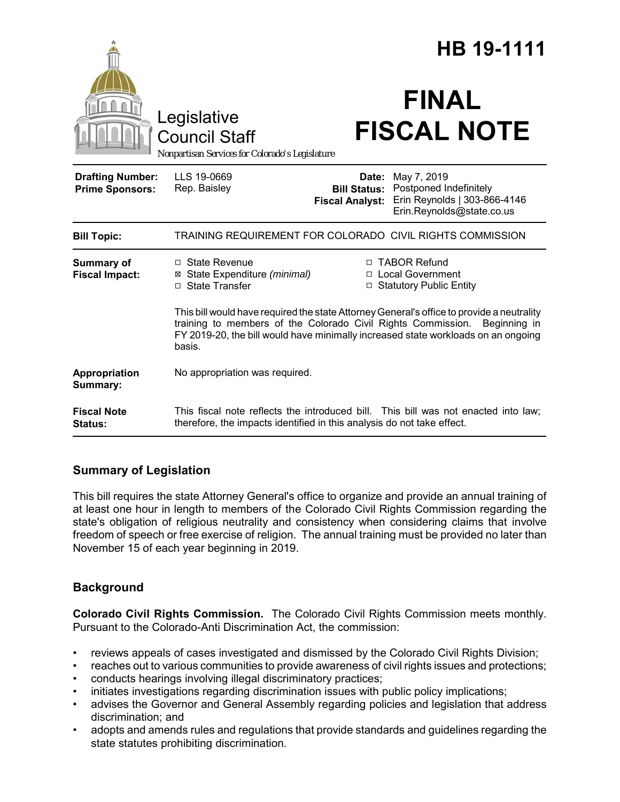|                                                   |                                                                                                                                                                                                                                                                          | HB 19-1111                      |                                                                                                                        |
|---------------------------------------------------|--------------------------------------------------------------------------------------------------------------------------------------------------------------------------------------------------------------------------------------------------------------------------|---------------------------------|------------------------------------------------------------------------------------------------------------------------|
|                                                   | Legislative<br><b>Council Staff</b><br>Nonpartisan Services for Colorado's Legislature                                                                                                                                                                                   |                                 | <b>FINAL</b><br><b>FISCAL NOTE</b>                                                                                     |
| <b>Drafting Number:</b><br><b>Prime Sponsors:</b> | LLS 19-0669<br>Rep. Baisley                                                                                                                                                                                                                                              | Date:<br><b>Fiscal Analyst:</b> | May 7, 2019<br><b>Bill Status: Postponed Indefinitely</b><br>Erin Reynolds   303-866-4146<br>Erin.Reynolds@state.co.us |
| <b>Bill Topic:</b>                                | TRAINING REQUIREMENT FOR COLORADO CIVIL RIGHTS COMMISSION                                                                                                                                                                                                                |                                 |                                                                                                                        |
| Summary of<br><b>Fiscal Impact:</b>               | □ State Revenue<br>⊠ State Expenditure (minimal)<br>□ State Transfer                                                                                                                                                                                                     |                                 | □ TABOR Refund<br>□ Local Government<br>□ Statutory Public Entity                                                      |
|                                                   | This bill would have required the state Attorney General's office to provide a neutrality<br>training to members of the Colorado Civil Rights Commission.<br>Beginning in<br>FY 2019-20, the bill would have minimally increased state workloads on an ongoing<br>basis. |                                 |                                                                                                                        |
| Appropriation<br>Summary:                         | No appropriation was required.                                                                                                                                                                                                                                           |                                 |                                                                                                                        |
| <b>Fiscal Note</b><br>Status:                     | therefore, the impacts identified in this analysis do not take effect.                                                                                                                                                                                                   |                                 | This fiscal note reflects the introduced bill. This bill was not enacted into law;                                     |

## **Summary of Legislation**

This bill requires the state Attorney General's office to organize and provide an annual training of at least one hour in length to members of the Colorado Civil Rights Commission regarding the state's obligation of religious neutrality and consistency when considering claims that involve freedom of speech or free exercise of religion. The annual training must be provided no later than November 15 of each year beginning in 2019.

# **Background**

**Colorado Civil Rights Commission.** The Colorado Civil Rights Commission meets monthly. Pursuant to the Colorado-Anti Discrimination Act, the commission:

- reviews appeals of cases investigated and dismissed by the Colorado Civil Rights Division;
- reaches out to various communities to provide awareness of civil rights issues and protections;
- conducts hearings involving illegal discriminatory practices;
- initiates investigations regarding discrimination issues with public policy implications;
- advises the Governor and General Assembly regarding policies and legislation that address discrimination; and
- adopts and amends rules and regulations that provide standards and guidelines regarding the state statutes prohibiting discrimination.